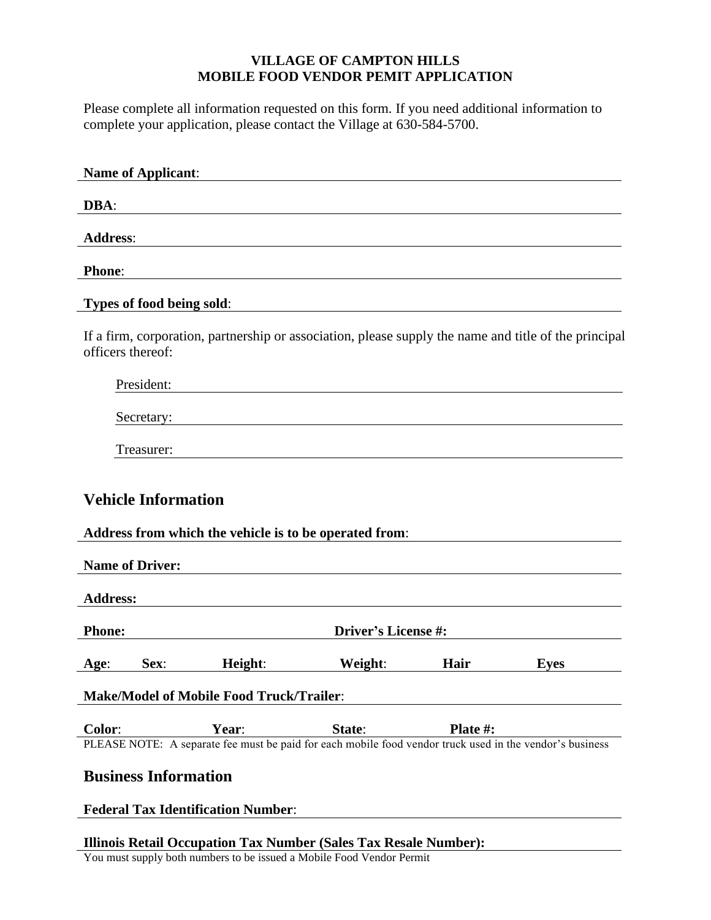# **VILLAGE OF CAMPTON HILLS MOBILE FOOD VENDOR PEMIT APPLICATION**

Please complete all information requested on this form. If you need additional information to complete your application, please contact the Village at 630-584-5700.

| <b>Name of Applicant:</b>                            |                                                                                                                   |                     |          |             |
|------------------------------------------------------|-------------------------------------------------------------------------------------------------------------------|---------------------|----------|-------------|
| DBA:                                                 |                                                                                                                   |                     |          |             |
| <b>Address:</b>                                      |                                                                                                                   |                     |          |             |
| <b>Phone:</b>                                        |                                                                                                                   |                     |          |             |
|                                                      | Types of food being sold:                                                                                         |                     |          |             |
| officers thereof:                                    | If a firm, corporation, partnership or association, please supply the name and title of the principal             |                     |          |             |
| President:                                           |                                                                                                                   |                     |          |             |
| Secretary:                                           |                                                                                                                   |                     |          |             |
| Treasurer:                                           |                                                                                                                   |                     |          |             |
| <b>Vehicle Information</b><br><b>Name of Driver:</b> | Address from which the vehicle is to be operated from:                                                            |                     |          |             |
| <b>Address:</b>                                      |                                                                                                                   |                     |          |             |
| <b>Phone:</b>                                        |                                                                                                                   | Driver's License #: |          |             |
| Sex:<br>Age:                                         | Height:                                                                                                           | Weight:             | Hair     | <b>Eyes</b> |
|                                                      | <b>Make/Model of Mobile Food Truck/Trailer:</b>                                                                   |                     |          |             |
| Color:                                               | Year:<br>PLEASE NOTE: A separate fee must be paid for each mobile food vendor truck used in the vendor's business | State:              | Plate #: |             |
|                                                      | <b>Business Information</b>                                                                                       |                     |          |             |
|                                                      | <b>Federal Tax Identification Number:</b>                                                                         |                     |          |             |

# **Illinois Retail Occupation Tax Number (Sales Tax Resale Number):**

You must supply both numbers to be issued a Mobile Food Vendor Permit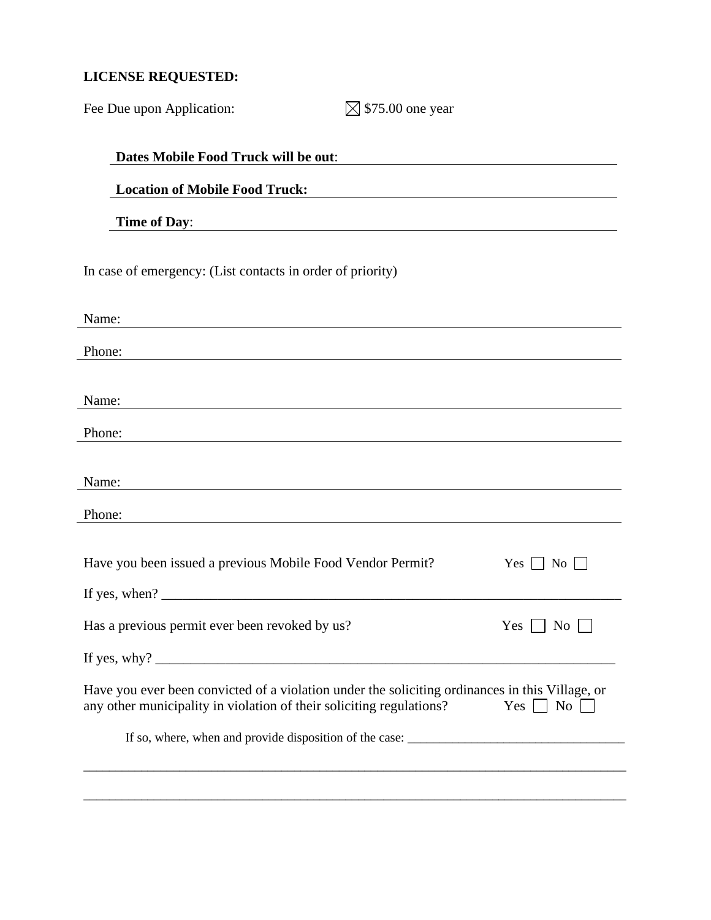# **LICENSE REQUESTED:**

| Fee Due upon Application:                                                                                                                                               | $\boxtimes$ \$75.00 one year |                               |
|-------------------------------------------------------------------------------------------------------------------------------------------------------------------------|------------------------------|-------------------------------|
| Dates Mobile Food Truck will be out:                                                                                                                                    |                              |                               |
| <b>Location of Mobile Food Truck:</b>                                                                                                                                   |                              |                               |
|                                                                                                                                                                         |                              |                               |
| <b>Time of Day:</b>                                                                                                                                                     |                              |                               |
| In case of emergency: (List contacts in order of priority)                                                                                                              |                              |                               |
| Name:                                                                                                                                                                   |                              |                               |
| Phone:                                                                                                                                                                  |                              |                               |
|                                                                                                                                                                         |                              |                               |
| Name:                                                                                                                                                                   |                              |                               |
| Phone:<br><u> 1989 - Johann Stein, marwolaethau (b. 1989)</u>                                                                                                           |                              |                               |
| Name:                                                                                                                                                                   |                              |                               |
| <u> 1989 - Johann Barn, mars ann an t-Amhain Aonaichte ann an t-Aonaichte ann an t-Aonaichte ann an t-Aonaichte a</u>                                                   |                              |                               |
| Phone:                                                                                                                                                                  |                              |                               |
| Have you been issued a previous Mobile Food Vendor Permit?                                                                                                              |                              | Yes $\Box$ No $\Box$          |
|                                                                                                                                                                         |                              |                               |
| Has a previous permit ever been revoked by us?                                                                                                                          |                              | $Yes \mid \mid No \mid$       |
|                                                                                                                                                                         |                              |                               |
| Have you ever been convicted of a violation under the soliciting ordinances in this Village, or<br>any other municipality in violation of their soliciting regulations? |                              | $Yes$    <br>$\overline{N_0}$ |
|                                                                                                                                                                         |                              |                               |
|                                                                                                                                                                         |                              |                               |
|                                                                                                                                                                         |                              |                               |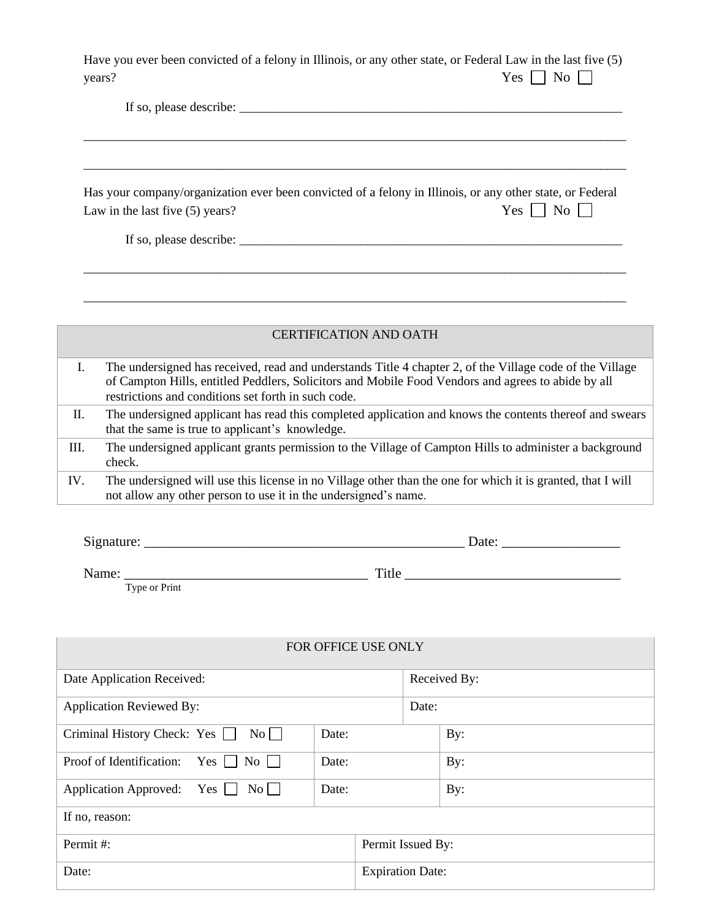| Have you ever been convicted of a felony in Illinois, or any other state, or Federal Law in the last five (5) |                      |
|---------------------------------------------------------------------------------------------------------------|----------------------|
| years?                                                                                                        | Yes $\Box$ No $\Box$ |

\_\_\_\_\_\_\_\_\_\_\_\_\_\_\_\_\_\_\_\_\_\_\_\_\_\_\_\_\_\_\_\_\_\_\_\_\_\_\_\_\_\_\_\_\_\_\_\_\_\_\_\_\_\_\_\_\_\_\_\_\_\_\_\_\_\_\_\_\_\_\_\_\_\_\_\_\_\_\_\_\_\_\_\_\_

\_\_\_\_\_\_\_\_\_\_\_\_\_\_\_\_\_\_\_\_\_\_\_\_\_\_\_\_\_\_\_\_\_\_\_\_\_\_\_\_\_\_\_\_\_\_\_\_\_\_\_\_\_\_\_\_\_\_\_\_\_\_\_\_\_\_\_\_\_\_\_\_\_\_\_\_\_\_\_\_\_\_\_\_\_

If so, please describe: \_\_\_\_\_\_\_\_\_\_\_\_\_\_\_\_\_\_\_\_\_\_\_\_\_\_\_\_\_\_\_\_\_\_\_\_\_\_\_\_\_\_\_\_\_\_\_\_\_\_\_\_\_\_\_\_\_\_\_\_

Has your company/organization ever been convicted of a felony in Illinois, or any other state, or Federal Law in the last five (5) years?  $\begin{array}{c} \n\text{Yes} \quad \text{No} \quad \text{S} \n\end{array}$ 

If so, please describe: \_\_\_\_\_\_\_\_\_\_\_\_\_\_\_\_\_\_\_\_\_\_\_\_\_\_\_\_\_\_\_\_\_\_\_\_\_\_\_\_\_\_\_\_\_\_\_\_\_\_\_\_\_\_\_\_\_\_\_\_

# CERTIFICATION AND OATH

\_\_\_\_\_\_\_\_\_\_\_\_\_\_\_\_\_\_\_\_\_\_\_\_\_\_\_\_\_\_\_\_\_\_\_\_\_\_\_\_\_\_\_\_\_\_\_\_\_\_\_\_\_\_\_\_\_\_\_\_\_\_\_\_\_\_\_\_\_\_\_\_\_\_\_\_\_\_\_\_\_\_\_\_\_

| 1.  | The undersigned has received, read and understands Title 4 chapter 2, of the Village code of the Village<br>of Campton Hills, entitled Peddlers, Solicitors and Mobile Food Vendors and agrees to abide by all<br>restrictions and conditions set forth in such code. |
|-----|-----------------------------------------------------------------------------------------------------------------------------------------------------------------------------------------------------------------------------------------------------------------------|
| П.  | The undersigned applicant has read this completed application and knows the contents thereof and swears<br>that the same is true to applicant's knowledge.                                                                                                            |
| Ш.  | The undersigned applicant grants permission to the Village of Campton Hills to administer a background<br>check.                                                                                                                                                      |
| IV. | The undersigned will use this license in no Village other than the one for which it is granted, that I will<br>not allow any other person to use it in the undersigned's name.                                                                                        |

| $\sim$<br>ົ |  |
|-------------|--|
|             |  |

Name: \_\_\_\_\_\_\_\_\_\_\_\_\_\_\_\_\_\_\_\_\_\_\_\_\_\_\_\_\_\_\_\_\_\_\_ Title \_\_\_\_\_\_\_\_\_\_\_\_\_\_\_\_\_\_\_\_\_\_\_\_\_\_\_\_\_\_\_

Type or Print

FOR OFFICE USE ONLY

| Date Application Received:                          |       | Received By:            |       |     |
|-----------------------------------------------------|-------|-------------------------|-------|-----|
| <b>Application Reviewed By:</b>                     |       |                         | Date: |     |
| Criminal History Check: Yes<br>$\overline{N_0}$     | Date: |                         |       | By: |
| Proof of Identification: Yes    <br>$No$            | Date: |                         |       | By: |
| Application Approved: Yes<br>$\overline{\text{No}}$ | Date: |                         |       | By: |
| If no, reason:                                      |       |                         |       |     |
| Permit#:                                            |       | Permit Issued By:       |       |     |
| Date:                                               |       | <b>Expiration Date:</b> |       |     |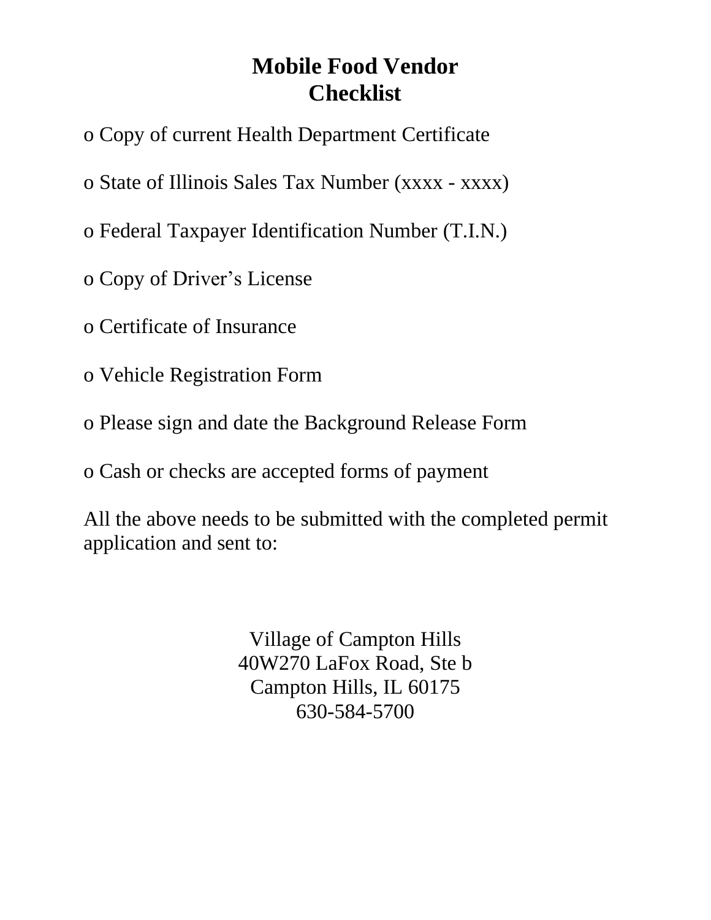# **Mobile Food Vendor Checklist**

- o Copy of current Health Department Certificate
- o State of Illinois Sales Tax Number (xxxx xxxx)
- o Federal Taxpayer Identification Number (T.I.N.)
- o Copy of Driver's License
- o Certificate of Insurance
- o Vehicle Registration Form
- o Please sign and date the Background Release Form
- o Cash or checks are accepted forms of payment

All the above needs to be submitted with the completed permit application and sent to:

> Village of Campton Hills 40W270 LaFox Road, Ste b Campton Hills, IL 60175 630-584-5700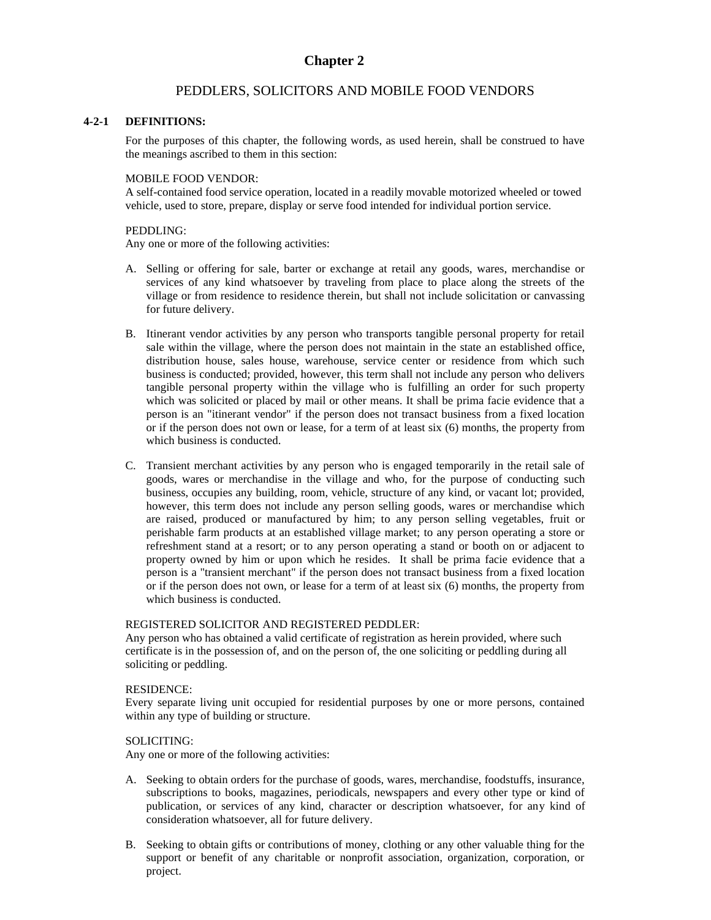# **Chapter 2**

### PEDDLERS, SOLICITORS AND MOBILE FOOD VENDORS

#### **4-2-1 DEFINITIONS:**

For the purposes of this chapter, the following words, as used herein, shall be construed to have the meanings ascribed to them in this section:

#### MOBILE FOOD VENDOR:

A self-contained food service operation, located in a readily movable motorized wheeled or towed vehicle, used to store, prepare, display or serve food intended for individual portion service.

#### PEDDLING:

Any one or more of the following activities:

- A. Selling or offering for sale, barter or exchange at retail any goods, wares, merchandise or services of any kind whatsoever by traveling from place to place along the streets of the village or from residence to residence therein, but shall not include solicitation or canvassing for future delivery.
- B. Itinerant vendor activities by any person who transports tangible personal property for retail sale within the village, where the person does not maintain in the state an established office, distribution house, sales house, warehouse, service center or residence from which such business is conducted; provided, however, this term shall not include any person who delivers tangible personal property within the village who is fulfilling an order for such property which was solicited or placed by mail or other means. It shall be prima facie evidence that a person is an "itinerant vendor" if the person does not transact business from a fixed location or if the person does not own or lease, for a term of at least six (6) months, the property from which business is conducted.
- C. Transient merchant activities by any person who is engaged temporarily in the retail sale of goods, wares or merchandise in the village and who, for the purpose of conducting such business, occupies any building, room, vehicle, structure of any kind, or vacant lot; provided, however, this term does not include any person selling goods, wares or merchandise which are raised, produced or manufactured by him; to any person selling vegetables, fruit or perishable farm products at an established village market; to any person operating a store or refreshment stand at a resort; or to any person operating a stand or booth on or adjacent to property owned by him or upon which he resides. It shall be prima facie evidence that a person is a "transient merchant" if the person does not transact business from a fixed location or if the person does not own, or lease for a term of at least six (6) months, the property from which business is conducted.

#### REGISTERED SOLICITOR AND REGISTERED PEDDLER:

Any person who has obtained a valid certificate of registration as herein provided, where such certificate is in the possession of, and on the person of, the one soliciting or peddling during all soliciting or peddling.

#### RESIDENCE:

Every separate living unit occupied for residential purposes by one or more persons, contained within any type of building or structure.

#### SOLICITING:

Any one or more of the following activities:

- A. Seeking to obtain orders for the purchase of goods, wares, merchandise, foodstuffs, insurance, subscriptions to books, magazines, periodicals, newspapers and every other type or kind of publication, or services of any kind, character or description whatsoever, for any kind of consideration whatsoever, all for future delivery.
- B. Seeking to obtain gifts or contributions of money, clothing or any other valuable thing for the support or benefit of any charitable or nonprofit association, organization, corporation, or project.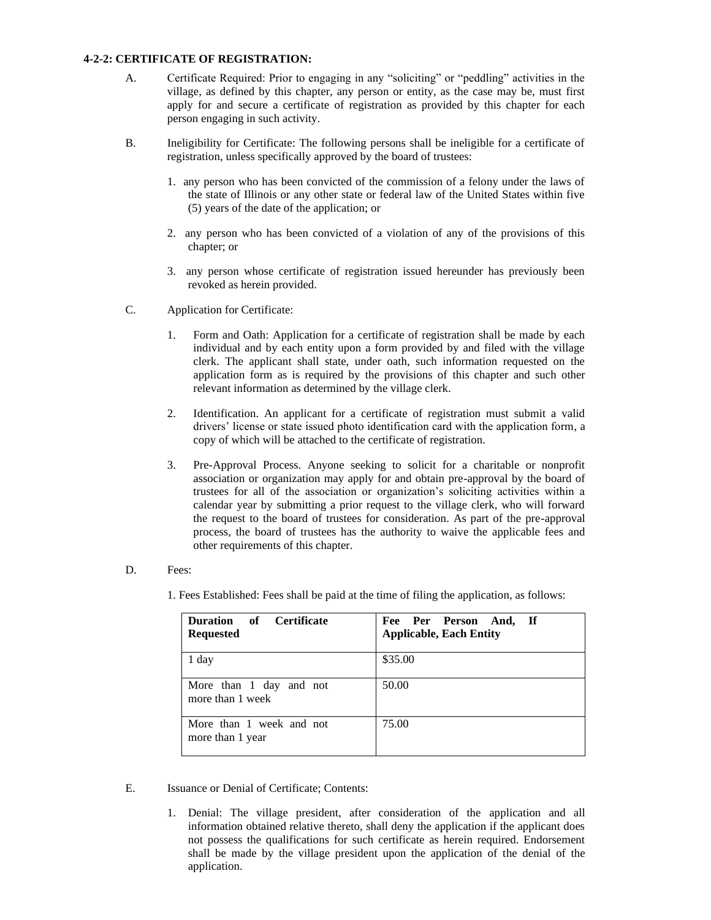#### **4-2-2: CERTIFICATE OF REGISTRATION:**

- A. Certificate Required: Prior to engaging in any "soliciting" or "peddling" activities in the village, as defined by this chapter, any person or entity, as the case may be, must first apply for and secure a certificate of registration as provided by this chapter for each person engaging in such activity.
- B. Ineligibility for Certificate: The following persons shall be ineligible for a certificate of registration, unless specifically approved by the board of trustees:
	- 1. any person who has been convicted of the commission of a felony under the laws of the state of Illinois or any other state or federal law of the United States within five (5) years of the date of the application; or
	- 2. any person who has been convicted of a violation of any of the provisions of this chapter; or
	- 3. any person whose certificate of registration issued hereunder has previously been revoked as herein provided.
- C. Application for Certificate:
	- 1. Form and Oath: Application for a certificate of registration shall be made by each individual and by each entity upon a form provided by and filed with the village clerk. The applicant shall state, under oath, such information requested on the application form as is required by the provisions of this chapter and such other relevant information as determined by the village clerk.
	- 2. Identification. An applicant for a certificate of registration must submit a valid drivers' license or state issued photo identification card with the application form, a copy of which will be attached to the certificate of registration.
	- 3. Pre-Approval Process. Anyone seeking to solicit for a charitable or nonprofit association or organization may apply for and obtain pre-approval by the board of trustees for all of the association or organization's soliciting activities within a calendar year by submitting a prior request to the village clerk, who will forward the request to the board of trustees for consideration. As part of the pre-approval process, the board of trustees has the authority to waive the applicable fees and other requirements of this chapter.
- D. Fees:
	- 1. Fees Established: Fees shall be paid at the time of filing the application, as follows:

| Duration of Certificate<br><b>Requested</b>  | Fee Per Person And, If<br><b>Applicable, Each Entity</b> |
|----------------------------------------------|----------------------------------------------------------|
| 1 day                                        | \$35.00                                                  |
| More than 1 day and not<br>more than 1 week  | 50.00                                                    |
| More than 1 week and not<br>more than 1 year | 75.00                                                    |

- E. Issuance or Denial of Certificate; Contents:
	- 1. Denial: The village president, after consideration of the application and all information obtained relative thereto, shall deny the application if the applicant does not possess the qualifications for such certificate as herein required. Endorsement shall be made by the village president upon the application of the denial of the application.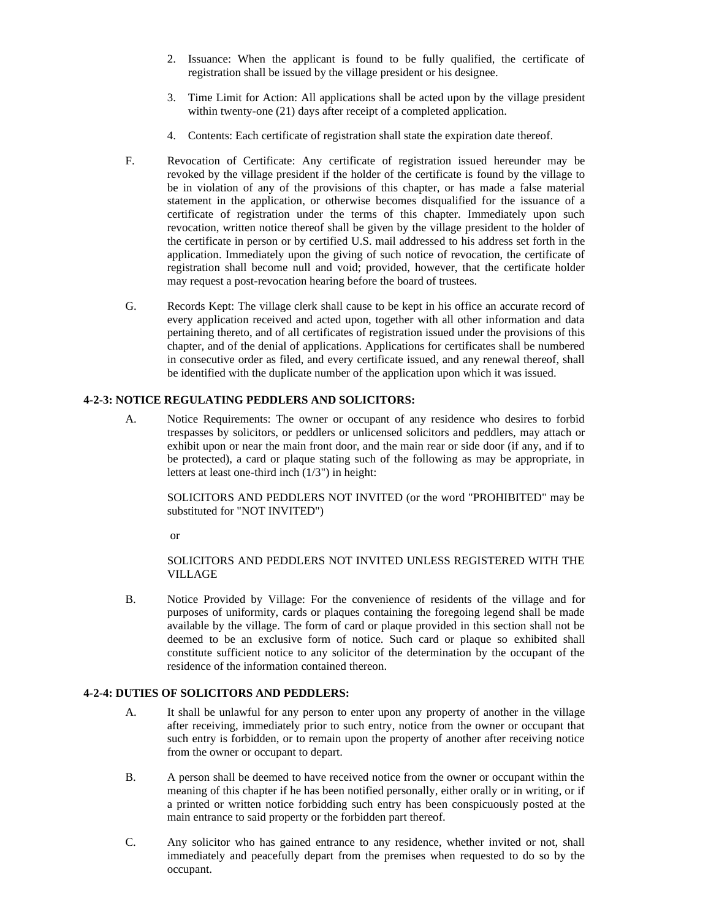- 2. Issuance: When the applicant is found to be fully qualified, the certificate of registration shall be issued by the village president or his designee.
- 3. Time Limit for Action: All applications shall be acted upon by the village president within twenty-one (21) days after receipt of a completed application.
- 4. Contents: Each certificate of registration shall state the expiration date thereof.
- F. Revocation of Certificate: Any certificate of registration issued hereunder may be revoked by the village president if the holder of the certificate is found by the village to be in violation of any of the provisions of this chapter, or has made a false material statement in the application, or otherwise becomes disqualified for the issuance of a certificate of registration under the terms of this chapter. Immediately upon such revocation, written notice thereof shall be given by the village president to the holder of the certificate in person or by certified U.S. mail addressed to his address set forth in the application. Immediately upon the giving of such notice of revocation, the certificate of registration shall become null and void; provided, however, that the certificate holder may request a post-revocation hearing before the board of trustees.
- G. Records Kept: The village clerk shall cause to be kept in his office an accurate record of every application received and acted upon, together with all other information and data pertaining thereto, and of all certificates of registration issued under the provisions of this chapter, and of the denial of applications. Applications for certificates shall be numbered in consecutive order as filed, and every certificate issued, and any renewal thereof, shall be identified with the duplicate number of the application upon which it was issued.

#### **4-2-3: NOTICE REGULATING PEDDLERS AND SOLICITORS:**

A. Notice Requirements: The owner or occupant of any residence who desires to forbid trespasses by solicitors, or peddlers or unlicensed solicitors and peddlers, may attach or exhibit upon or near the main front door, and the main rear or side door (if any, and if to be protected), a card or plaque stating such of the following as may be appropriate, in letters at least one-third inch (1/3") in height:

SOLICITORS AND PEDDLERS NOT INVITED (or the word "PROHIBITED" may be substituted for "NOT INVITED")

or

#### SOLICITORS AND PEDDLERS NOT INVITED UNLESS REGISTERED WITH THE VILLAGE

B. Notice Provided by Village: For the convenience of residents of the village and for purposes of uniformity, cards or plaques containing the foregoing legend shall be made available by the village. The form of card or plaque provided in this section shall not be deemed to be an exclusive form of notice. Such card or plaque so exhibited shall constitute sufficient notice to any solicitor of the determination by the occupant of the residence of the information contained thereon.

#### **4-2-4: DUTIES OF SOLICITORS AND PEDDLERS:**

- A. It shall be unlawful for any person to enter upon any property of another in the village after receiving, immediately prior to such entry, notice from the owner or occupant that such entry is forbidden, or to remain upon the property of another after receiving notice from the owner or occupant to depart.
- B. A person shall be deemed to have received notice from the owner or occupant within the meaning of this chapter if he has been notified personally, either orally or in writing, or if a printed or written notice forbidding such entry has been conspicuously posted at the main entrance to said property or the forbidden part thereof.
- C. Any solicitor who has gained entrance to any residence, whether invited or not, shall immediately and peacefully depart from the premises when requested to do so by the occupant.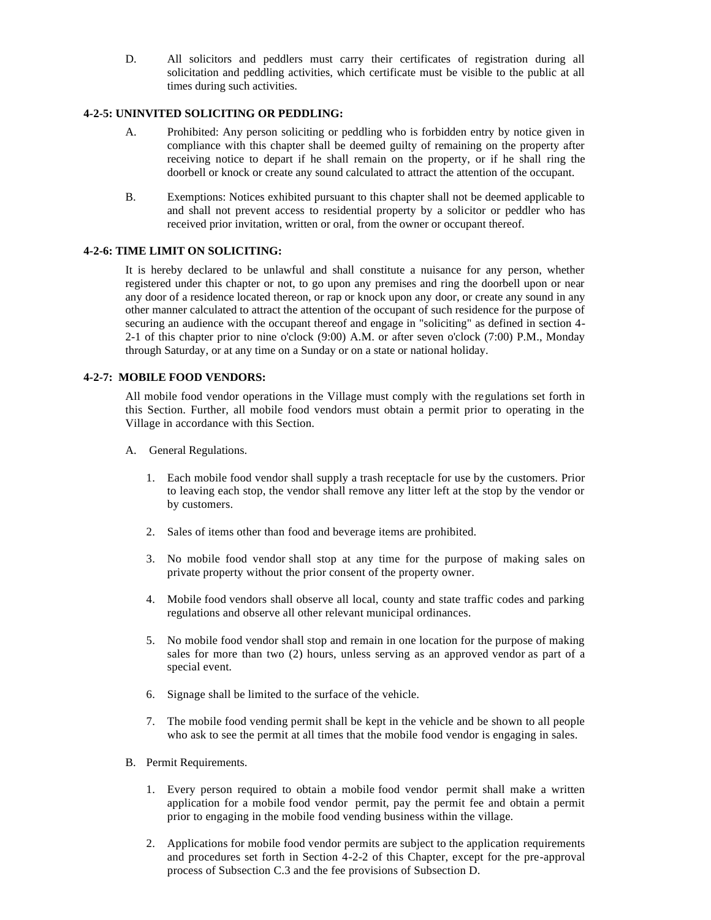D. All solicitors and peddlers must carry their certificates of registration during all solicitation and peddling activities, which certificate must be visible to the public at all times during such activities.

#### **4-2-5: UNINVITED SOLICITING OR PEDDLING:**

- A. Prohibited: Any person soliciting or peddling who is forbidden entry by notice given in compliance with this chapter shall be deemed guilty of remaining on the property after receiving notice to depart if he shall remain on the property, or if he shall ring the doorbell or knock or create any sound calculated to attract the attention of the occupant.
- B. Exemptions: Notices exhibited pursuant to this chapter shall not be deemed applicable to and shall not prevent access to residential property by a solicitor or peddler who has received prior invitation, written or oral, from the owner or occupant thereof.

#### **4-2-6: TIME LIMIT ON SOLICITING:**

It is hereby declared to be unlawful and shall constitute a nuisance for any person, whether registered under this chapter or not, to go upon any premises and ring the doorbell upon or near any door of a residence located thereon, or rap or knock upon any door, or create any sound in any other manner calculated to attract the attention of the occupant of such residence for the purpose of securing an audience with the occupant thereof and engage in "soliciting" as defined in section 4- 2-1 of this chapter prior to nine o'clock (9:00) A.M. or after seven o'clock (7:00) P.M., Monday through Saturday, or at any time on a Sunday or on a state or national holiday.

#### **4-2-7: MOBILE FOOD VENDORS:**

All mobile food vendor operations in the Village must comply with the regulations set forth in this Section. Further, all mobile food vendors must obtain a permit prior to operating in the Village in accordance with this Section.

- A. General Regulations.
	- 1. Each mobile food vendor shall supply a trash receptacle for use by the customers. Prior to leaving each stop, the vendor shall remove any litter left at the stop by the vendor or by customers.
	- 2. Sales of items other than food and beverage items are prohibited.
	- 3. No mobile food vendor shall stop at any time for the purpose of making sales on private property without the prior consent of the property owner.
	- 4. Mobile food vendors shall observe all local, county and state traffic codes and parking regulations and observe all other relevant municipal ordinances.
	- 5. No mobile food vendor shall stop and remain in one location for the purpose of making sales for more than two (2) hours, unless serving as an approved vendor as part of a special event.
	- 6. Signage shall be limited to the surface of the vehicle.
	- 7. The mobile food vending permit shall be kept in the vehicle and be shown to all people who ask to see the permit at all times that the mobile food vendor is engaging in sales.
- B. Permit Requirements.
	- 1. Every person required to obtain a mobile food vendor permit shall make a written application for a mobile food vendor permit, pay the permit fee and obtain a permit prior to engaging in the mobile food vending business within the village.
	- 2. Applications for mobile food vendor permits are subject to the application requirements and procedures set forth in Section 4-2-2 of this Chapter, except for the pre-approval process of Subsection C.3 and the fee provisions of Subsection D.